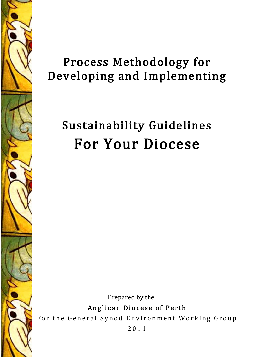

# Process Methodology for Developing and Implementing

# Sustainability Guidelines For Your Diocese

Prepared by the

Anglican Diocese of Perth

For the General Synod Environment Working Group

2011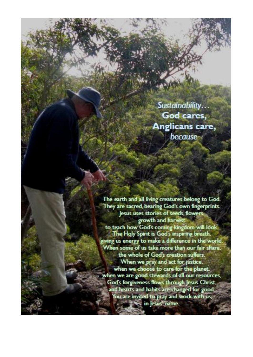Sustainability... God cares, Anglicans care, because

The earth and all living creatures belong to God. They are sacred, bearing God's own fingerprints. lesus uses stories of seeds, flowers, growth and harvest to teach how God's coming kingdom will look. The Holy Spirit is God's inspiring breath, giving us energy to make a difference in the world. When some of us take more than our fair share, the whole of God's creation suffers. When we pray and act for justice, when we choose to care for the planet. when we are good stewards of all our resources, God's forgiveness flows through Jesus Christ, and hearts and habits are changed for good. You are invited to pray and work with us.<br>in Jesus' name.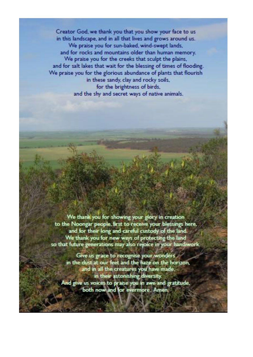Creator God, we thank you that you show your face to us in this landscape, and in all that lives and grows around us. We praise you for sun-baked, wind-swept lands, and for rocks and mountains older than human memory. We praise you for the creeks that sculpt the plains, and for salt lakes that wait for the blessing of times of flooding. We praise you for the glorious abundance of plants that flourish in these sandy, clay and rocky soils, for the brightness of birds. and the shy and secret ways of native animals.

We thank you for showing your glory in creation to the Noongar people, first to receive your blessings here. and for their long and careful custody of the land. We thank you for new ways of protecting the land so that future generations may also rejoice in your handiwork.

Give us grace to recognise your wonders in the dust at our feet and the haze on the horizon, and in all the creatures you have made, in their astonishing diversity. And give us voices to praise you in awe and gratitude.<br>both now and for evermore. Amen.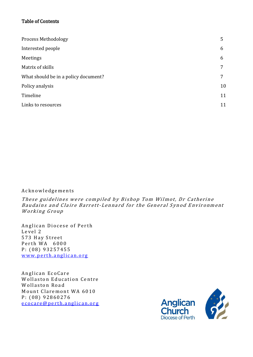# Table of Contents

| <b>Process Methodology</b>           | 5  |
|--------------------------------------|----|
| Interested people                    | 6  |
| Meetings                             | 6  |
| Matrix of skills                     | 7  |
| What should be in a policy document? | 7  |
| Policy analysis                      | 10 |
| Timeline                             | 11 |
| Links to resources                   | 11 |

# A c k n o w l e d g e m e n t s

These guidelines were compiled by Bishop Tom Wilmot, Dr Catherine Baudains and Claire Barrett-Lennard for the General Synod Environment Working Group

Anglican Diocese of Perth Level 2 573 Hay Street Perth WA 6000 P: (08) 93257455 www.perth.anglican.org

Anglican EcoCare Wollaston Education Centre Wollaston Road Mount Claremont WA 6010 P: (08) 92860276 e co c a r e @ p e r th . a n g l i c a n . o r g

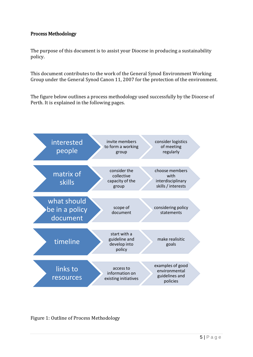# Process Methodology

The purpose of this document is to assist your Diocese in producing a sustainability policy.

This document contributes to the work of the General Synod Environment Working Group under the General Synod Canon 11, 2007 for the protection of the environment.

The figure below outlines a process methodology used successfully by the Diocese of Perth. It is explained in the following pages.



Figure 1: Outline of Process Methodology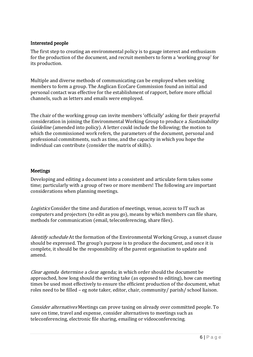#### Interested people

The first step to creating an environmental policy is to gauge interest and enthusiasm for the production of the document, and recruit members to form a 'working group' for its production.

Multiple and diverse methods of communicating can be employed when seeking members to form a group. The Anglican EcoCare Commission found an initial and personal contact was effective for the establishment of rapport, before more official channels, such as letters and emails were employed.

The chair of the working group can invite members 'officially' asking for their prayerful consideration in joining the Environmental Working Group to produce a *Sustainability* Guideline (amended into policy). A letter could include the following; the motion to which the commissioned work refers, the parameters of the document, personal and professional commitments, such as time, and the capacity in which you hope the individual can contribute (consider the matrix of skills).

#### Meetings

Developing and editing a document into a consistent and articulate form takes some time; particularly with a group of two or more members! The following are important considerations when planning meetings.

Logistics Consider the time and duration of meetings, venue, access to IT such as computers and projectors (to edit as you go), means by which members can file share, methods for communication (email, teleconferencing, share files).

Identify schedule At the formation of the Environmental Working Group, a sunset clause should be expressed. The group's purpose is to produce the document, and once it is complete, it should be the responsibility of the parent organisation to update and amend.

Clear agenda determine a clear agenda; in which order should the document be approached, how long should the writing take (as opposed to editing), how can meeting times be used most effectively to ensure the efficient production of the document, what roles need to be filled – eg note taker, editor, chair, community/ parish/ school liaison.

Consider alternatives Meetings can prove taxing on already over committed people. To save on time, travel and expense, consider alternatives to meetings such as teleconferencing, electronic file sharing, emailing or videoconferencing.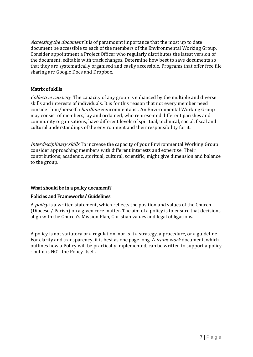Accessing the document It is of paramount importance that the most up to date document be accessible to each of the members of the Environmental Working Group. Consider appointment a Project Officer who regularly distributes the latest version of the document, editable with track changes. Determine how best to save documents so that they are systematically organised and easily accessible. Programs that offer free file sharing are Google Docs and Dropbox.

# Matrix of skills

Collective capacity The capacity of any group is enhanced by the multiple and diverse skills and interests of individuals. It is for this reason that not every member need consider him/herself a hardline environmentalist. An Environmental Working Group may consist of members, lay and ordained, who represented different parishes and community organisations, have different levels of spiritual, technical, social, fiscal and cultural understandings of the environment and their responsibility for it.

Interdisciplinary skills To increase the capacity of your Environmental Working Group consider approaching members with different interests and expertise. Their contributions; academic, spiritual, cultural, scientific, might give dimension and balance to the group.

# What should be in a policy document?

# Policies and Frameworks/ Guidelines

A *policy* is a written statement, which reflects the position and values of the Church (Diocese / Parish) on a given core matter. The aim of a policy is to ensure that decisions align with the Church's Mission Plan, Christian values and legal obligations.

A policy is not statutory or a regulation, nor is it a strategy, a procedure, or a guideline. For clarity and transparency, it is best as one page long. A *framework* document, which outlines how a Policy will be practically implemented, can be written to support a policy - but it is NOT the Policy itself.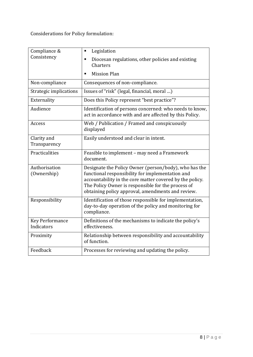Considerations for Policy formulation:

| Compliance &<br>Consistency          | Legislation<br>٠                                                                                                                                                                                                                                                                 |
|--------------------------------------|----------------------------------------------------------------------------------------------------------------------------------------------------------------------------------------------------------------------------------------------------------------------------------|
|                                      | Diocesan regulations, other policies and existing<br>٠<br>Charters                                                                                                                                                                                                               |
|                                      | <b>Mission Plan</b>                                                                                                                                                                                                                                                              |
| Non-compliance                       | Consequences of non-compliance.                                                                                                                                                                                                                                                  |
| Strategic implications               | Issues of "risk" (legal, financial, moral )                                                                                                                                                                                                                                      |
| Externality                          | Does this Policy represent "best practice"?                                                                                                                                                                                                                                      |
| Audience                             | Identification of persons concerned: who needs to know,<br>act in accordance with and are affected by this Policy.                                                                                                                                                               |
| Access                               | Web / Publication / Framed and conspicuously<br>displayed                                                                                                                                                                                                                        |
| Clarity and<br>Transparency          | Easily understood and clear in intent.                                                                                                                                                                                                                                           |
| Practicalities                       | Feasible to implement - may need a Framework<br>document.                                                                                                                                                                                                                        |
| Authorisation<br>(Ownership)         | Designate the Policy Owner (person/body), who has the<br>functional responsibility for implementation and<br>accountability in the core matter covered by the policy.<br>The Policy Owner is responsible for the process of<br>obtaining policy approval, amendments and review. |
| Responsibility                       | Identification of those responsible for implementation,<br>day-to-day operation of the policy and monitoring for<br>compliance.                                                                                                                                                  |
| <b>Key Performance</b><br>Indicators | Definitions of the mechanisms to indicate the policy's<br>effectiveness.                                                                                                                                                                                                         |
| Proximity                            | Relationship between responsibility and accountability<br>of function.                                                                                                                                                                                                           |
| Feedback                             | Processes for reviewing and updating the policy.                                                                                                                                                                                                                                 |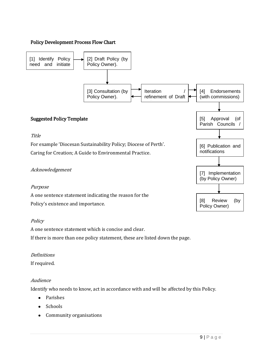# Policy Development Process Flow Chart



# **Policy**

A one sentence statement which is concise and clear. If there is more than one policy statement, these are listed down the page.

# Definitions

If required.

# Audience

Identify who needs to know, act in accordance with and will be affected by this Policy.

- Parishes
- Schools
- Community organisations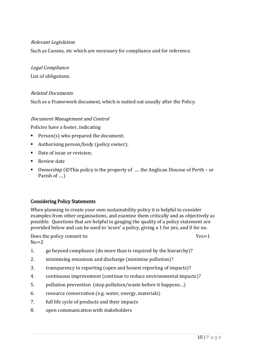#### Relevant Legislation

Such as Canons, etc which are necessary for compliance and for reference.

#### Legal Compliance

List of obligations.

#### Related Documents

Such as a Framework document, which is nutted out usually after the Policy.

#### Document Management and Control

Policies have a footer, indicating

- Person(s) who prepared the document;
- Authorising person/body (policy owner);
- Date of issue or revision:
- Review date
- Ownership (©This policy is the property of .... the Anglican Diocese of Perth or Parish of ….)

#### Considering Policy Statements

When planning to create your own sustainability policy it is helpful to consider examples from other organisations, and examine them critically and as objectively as possible. Questions that are helpful in gauging the quality of a policy statement are provided below and can be used to 'score' a policy, giving a 1 for yes, and 0 for no.

Does the policy commit to:  $Yes=1$  $No = 2$ 

- 1. go beyond compliance (do more than is required by the hierarchy)?
- 2. minimising emissions and discharge (minimise pollution)?
- 3. transparency in reporting (open and honest reporting of impacts)?
- 4. continuous improvement (continue to reduce environmental impacts)?
- 5. pollution prevention (stop pollution/waste before it happens…)
- 6. resource conservation (e.g. water, energy, materials)
- 7. full life cycle of products and their impacts
- 8. open communication with stakeholders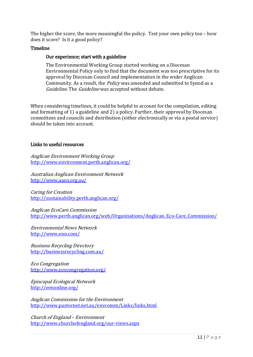The higher the score, the more meaningful the policy. Test your own policy too – how does it score? Is it a good policy?

#### Timeline

#### Our experience; start with a guideline

The Environmental Working Group started working on a Diocesan Environmental Policy only to find that the document was too prescriptive for its approval by Diocesan Council and implementation in the wider Anglican Community. As a result, the Policy was amended and submitted to Synod as a Guideline. The Guideline was accepted without debate.

When considering timelines, it could be helpful to account for the compilation, editing and formatting of 1) a guideline and 2) a policy. Further, their approval by Diocesan committees and councils and distribution (either electronically or via a postal service) should be taken into account.

#### Links to useful resources

Anglican Environment Working Group <http://www.environment.perth.anglican.org/>

[Australian Anglican Environment Network](http://www.aaen.org.au/) <http://www.aaen.org.au/>

Caring for Creation <http://sustainability.perth.anglican.org/>

Anglican EcoCare Commission [http://www.perth.anglican.org/web/Organisations/Anglican\\_Eco-Care\\_Commission/](http://www.perth.anglican.org/web/Organisations/Anglican_Eco-Care_Commission/)

Environmental News Network <http://www.enn.com/>

Business Recycling Directory <http://businessrecycling.com.au/>

Eco Congregation <http://www.ecocongregation.org/>

Episcopal Ecological Network <http://eenonline.org/>

Anglican Commission for the Environment <http://www.pastornet.net.au/envcomm/Links/links.html>

Church of England – Environment <http://www.churchofengland.org/our-views.aspx>